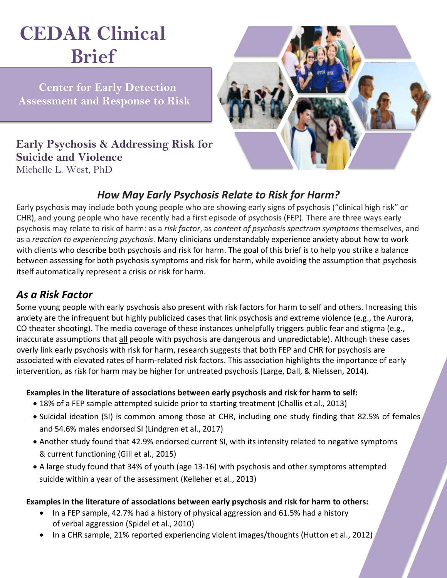# **CEDAR Clinical Brief**

 **Center for Early Detection Assessment and Response to Risk**

**Early Psychosis & Addressing Risk for Suicide and Violence** Michelle L. West, PhD



## *How May Early Psychosis Relate to Risk for Harm?*

Early psychosis may include both young people who are showing early signs of psychosis ("clinical high risk" or CHR), and young people who have recently had a first episode of psychosis (FEP). There are three ways early psychosis may relate to risk of harm: as a *risk factor*, as *content of psychosis spectrum symptoms* themselves, and as a *reaction to experiencing psychosis*. Many clinicians understandably experience anxiety about how to work with clients who describe both psychosis and risk for harm. The goal of this brief is to help you strike a balance between assessing for both psychosis symptoms and risk for harm, while avoiding the assumption that psychosis itself automatically represent a crisis or risk for harm.

## *As a Risk Factor*

Some young people with early psychosis also present with risk factors for harm to self and others. Increasing this anxiety are the infrequent but highly publicized cases that link psychosis and extreme violence (e.g., the Aurora, CO theater shooting). The media coverage of these instances unhelpfully triggers public fear and stigma (e.g., inaccurate assumptions that all people with psychosis are dangerous and unpredictable). Although these cases overly link early psychosis with risk for harm, research suggests that both FEP and CHR for psychosis are associated with elevated rates of harm-related risk factors. This association highlights the importance of early intervention, as risk for harm may be higher for untreated psychosis (Large, Dall, & Nielssen, 2014).

#### **Examples in the literature of associations between early psychosis and risk for harm to self:**

- 18% of a FEP sample attempted suicide prior to starting treatment (Challis et al., 2013)
- Suicidal ideation (SI) is common among those at CHR, including one study finding that 82.5% of females and 54.6% males endorsed SI (Lindgren et al., 2017)
- Another study found that 42.9% endorsed current SI, with its intensity related to negative symptoms & current functioning (Gill et al., 2015)
- A large study found that 34% of youth (age 13-16) with psychosis and other symptoms attempted suicide within a year of the assessment (Kelleher et al., 2013)

#### **Examples in the literature of associations between early psychosis and risk for harm to others:**

- In a FEP sample, 42.7% had a history of physical aggression and 61.5% had a history of verbal aggression (Spidel et al., 2010)
- In a CHR sample, 21% reported experiencing violent images/thoughts (Hutton et al., 2012)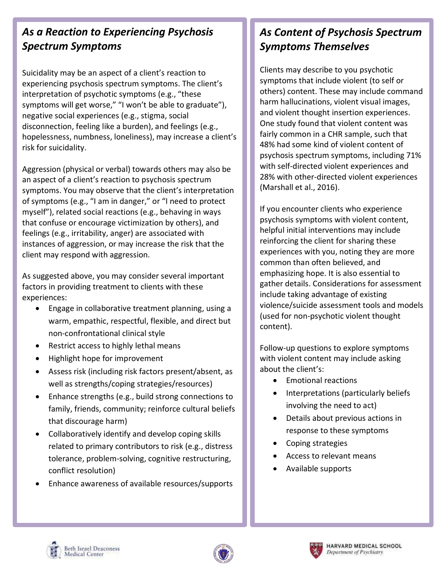## *As a Reaction to Experiencing Psychosis Spectrum Symptoms*

Suicidality may be an aspect of a client's reaction to experiencing psychosis spectrum symptoms. The client's interpretation of psychotic symptoms (e.g., "these symptoms will get worse," "I won't be able to graduate"), negative social experiences (e.g., stigma, social disconnection, feeling like a burden), and feelings (e.g., hopelessness, numbness, loneliness), may increase a client's risk for suicidality.

Aggression (physical or verbal) towards others may also be an aspect of a client's reaction to psychosis spectrum symptoms. You may observe that the client's interpretation of symptoms (e.g., "I am in danger," or "I need to protect myself"), related social reactions (e.g., behaving in ways that confuse or encourage victimization by others), and feelings (e.g., irritability, anger) are associated with instances of aggression, or may increase the risk that the client may respond with aggression.

As suggested above, you may consider several important factors in providing treatment to clients with these experiences:

- Engage in collaborative treatment planning, using a warm, empathic, respectful, flexible, and direct but non-confrontational clinical style
- Restrict access to highly lethal means
- Highlight hope for improvement
- Assess risk (including risk factors present/absent, as well as strengths/coping strategies/resources)
- Enhance strengths (e.g., build strong connections to family, friends, community; reinforce cultural beliefs that discourage harm)
- Collaboratively identify and develop coping skills related to primary contributors to risk (e.g., distress tolerance, problem-solving, cognitive restructuring, conflict resolution)
- Enhance awareness of available resources/supports

## *As Content of Psychosis Spectrum Symptoms Themselves*

Clients may describe to you psychotic symptoms that include violent (to self or others) content. These may include command harm hallucinations, violent visual images, and violent thought insertion experiences. One study found that violent content was fairly common in a CHR sample, such that 48% had some kind of violent content of psychosis spectrum symptoms, including 71% with self-directed violent experiences and 28% with other-directed violent experiences (Marshall et al., 2016).

If you encounter clients who experience psychosis symptoms with violent content, helpful initial interventions may include reinforcing the client for sharing these experiences with you, noting they are more common than often believed, and emphasizing hope. It is also essential to gather details. Considerations for assessment include taking advantage of existing violence/suicide assessment tools and models (used for non-psychotic violent thought content).

Follow-up questions to explore symptoms with violent content may include asking about the client's:

- Emotional reactions
- Interpretations (particularly beliefs involving the need to act)
- Details about previous actions in response to these symptoms
- Coping strategies
- Access to relevant means
- Available supports